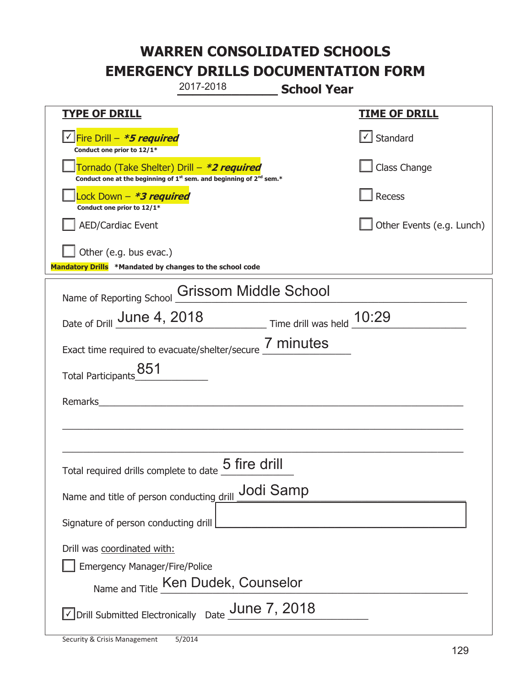|                                                                                                      | 2017-2018                                                                                   | <b>School Year</b> |                                   |
|------------------------------------------------------------------------------------------------------|---------------------------------------------------------------------------------------------|--------------------|-----------------------------------|
| <b>TYPE OF DRILL</b>                                                                                 |                                                                                             |                    | <u>TIME OF DRILL</u>              |
| V Fire Drill - *5 required<br>Conduct one prior to 12/1*                                             |                                                                                             |                    | $\lfloor \angle \rfloor$ Standard |
| Tornado (Take Shelter) Drill – *2 required                                                           | Conduct one at the beginning of 1 <sup>st</sup> sem. and beginning of 2 <sup>nd</sup> sem.* |                    | Class Change                      |
| Lock Down - *3 required<br>Conduct one prior to 12/1*                                                |                                                                                             |                    | Recess                            |
| <b>AED/Cardiac Event</b>                                                                             |                                                                                             |                    | Other Events (e.g. Lunch)         |
| Other (e.g. bus evac.)<br>Mandatory Drills *Mandated by changes to the school code                   |                                                                                             |                    |                                   |
| Name of Reporting School                                                                             | <b>Grissom Middle School</b>                                                                |                    |                                   |
| Date of Drill June 4, 2018 Time drill was held 10:29                                                 |                                                                                             |                    |                                   |
| Exact time required to evacuate/shelter/secure 7 minutes                                             |                                                                                             |                    |                                   |
| Total Participants_851                                                                               |                                                                                             |                    |                                   |
| Remarks                                                                                              | <u> 1980 - John Stein, Amerikaansk politiker (</u>                                          |                    |                                   |
|                                                                                                      |                                                                                             |                    |                                   |
|                                                                                                      |                                                                                             |                    |                                   |
| Total required drills complete to date $\underline{\mathsf{5}}$ fire $\operatorname{\mathsf{drill}}$ |                                                                                             |                    |                                   |
| Name and title of person conducting drill Jodi Samp                                                  |                                                                                             |                    |                                   |
| Signature of person conducting drill                                                                 |                                                                                             |                    |                                   |
| Drill was coordinated with:<br><b>Emergency Manager/Fire/Police</b>                                  | Name and Title Ken Dudek, Counselor                                                         |                    |                                   |
| ○ Drill Submitted Electronically Date June 7, 2018                                                   |                                                                                             |                    |                                   |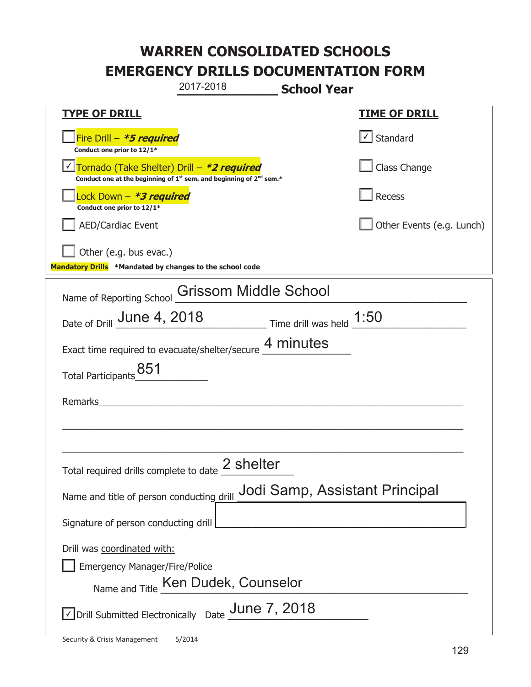|                                                                                    | 2017-2018                                                                                   | <b>School Year</b>                                    |                                |
|------------------------------------------------------------------------------------|---------------------------------------------------------------------------------------------|-------------------------------------------------------|--------------------------------|
| <u>TYPE OF DRILL</u>                                                               |                                                                                             |                                                       | <b>TIME OF DRILL</b>           |
| Fire Drill - *5 required<br>Conduct one prior to 12/1*                             |                                                                                             |                                                       | $\cup$ Standard                |
| Tornado (Take Shelter) Drill – *2 required                                         | Conduct one at the beginning of 1 <sup>st</sup> sem. and beginning of 2 <sup>nd</sup> sem.* |                                                       | Class Change                   |
| Lock Down - <b>*3 required</b><br>Conduct one prior to 12/1*                       |                                                                                             |                                                       | Recess                         |
| <b>AED/Cardiac Event</b>                                                           |                                                                                             |                                                       | Other Events (e.g. Lunch)      |
| Other (e.g. bus evac.)<br>Mandatory Drills *Mandated by changes to the school code |                                                                                             |                                                       |                                |
| Name of Reporting School                                                           | <b>Grissom Middle School</b>                                                                |                                                       |                                |
| Date of Drill June 4, 2018                                                         |                                                                                             | $\frac{1.50}{2}$ Time drill was held $\frac{1.50}{2}$ |                                |
| Exact time required to evacuate/shelter/secure 4 minutes                           |                                                                                             |                                                       |                                |
| Total Participants_851                                                             |                                                                                             |                                                       |                                |
| Remarks                                                                            |                                                                                             |                                                       |                                |
|                                                                                    |                                                                                             |                                                       |                                |
|                                                                                    |                                                                                             |                                                       |                                |
| Total required drills complete to date $\leq$                                      | 2 shelter                                                                                   |                                                       |                                |
| Name and title of person conducting drill                                          |                                                                                             |                                                       | Jodi Samp, Assistant Principal |
| Signature of person conducting drill                                               |                                                                                             |                                                       |                                |
| Drill was coordinated with:<br><b>Emergency Manager/Fire/Police</b>                | Name and Title Ken Dudek, Counselor                                                         |                                                       |                                |
| $\sqrt{\ }$ Drill Submitted Electronically Date $\_$ Une 7, 2018                   |                                                                                             |                                                       |                                |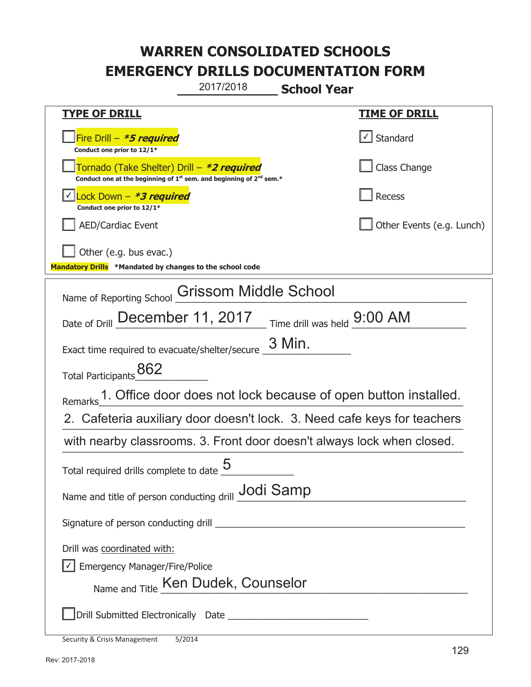**\_\_\_\_\_\_\_\_\_\_\_\_\_ School Year**  2017/2018

| <u>TYPE OF DRILL</u>                                                                                                                      | <u>TIME OF DRILL</u>      |  |  |
|-------------------------------------------------------------------------------------------------------------------------------------------|---------------------------|--|--|
| Fire Drill - *5 required<br>Conduct one prior to 12/1*                                                                                    | Standard                  |  |  |
| Tornado (Take Shelter) Drill – *2 required<br>Conduct one at the beginning of 1 <sup>st</sup> sem. and beginning of 2 <sup>nd</sup> sem.* | Class Change              |  |  |
| Lock Down - *3 required<br>Conduct one prior to 12/1*                                                                                     | <b>Recess</b>             |  |  |
| <b>AED/Cardiac Event</b>                                                                                                                  | Other Events (e.g. Lunch) |  |  |
| Other (e.g. bus evac.)<br>Mandatory Drills *Mandated by changes to the school code                                                        |                           |  |  |
| <b>Grissom Middle School</b><br>Name of Reporting School                                                                                  |                           |  |  |
| Date of Drill December 11, 2017 Time drill was held 9:00 AM                                                                               |                           |  |  |
| 3 Min.<br>Exact time required to evacuate/shelter/secure                                                                                  |                           |  |  |
| Total Participants 862                                                                                                                    |                           |  |  |
| 1. Office door does not lock because of open button installed.<br>Remarks                                                                 |                           |  |  |
| 2. Cafeteria auxiliary door doesn't lock. 3. Need cafe keys for teachers                                                                  |                           |  |  |
| with nearby classrooms. 3. Front door doesn't always lock when closed.                                                                    |                           |  |  |
| Total required drills complete to date                                                                                                    |                           |  |  |
| Name and title of person conducting drill Jodi Samp                                                                                       |                           |  |  |
|                                                                                                                                           |                           |  |  |
| Drill was coordinated with:                                                                                                               |                           |  |  |
| $\sqrt{\phantom{a}}$ Emergency Manager/Fire/Police                                                                                        |                           |  |  |
| Name and Title Ken Dudek, Counselor                                                                                                       |                           |  |  |
|                                                                                                                                           |                           |  |  |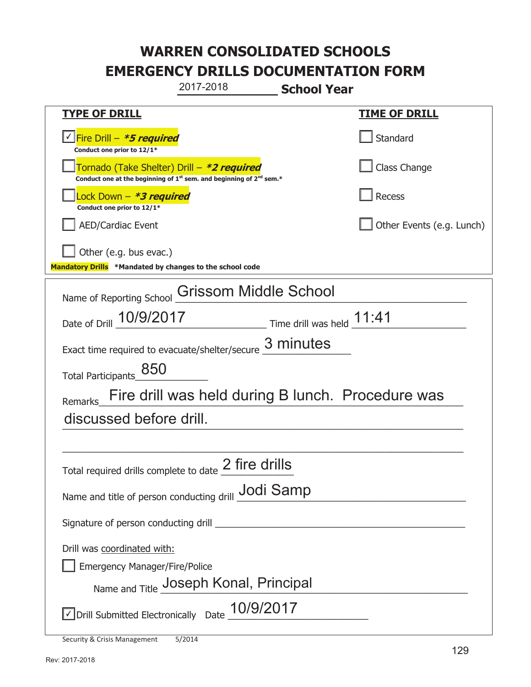**\_\_\_\_\_\_\_\_\_\_\_\_\_ School Year TYPE OF DRILL TIME OF DRILL**  侊Fire Drill – **\*5 required** ✔ **Conduct one prior to 12/1\* Standard** 侊Tornado (Take Shelter) Drill – **\*2 required** Conduct one at the beginning of 1<sup>st</sup> sem. and beginning of 2<sup>nd</sup> sem.\* Class Change 侊Lock Down – **\*3 required Conduct one prior to 12/1\* Recess** AED/Cardiac Event and the contract of the contract of the Contract of Contract of Contract of Contract of Contract of Contract of Contract of Contract of Contract of Contract of Contract of Contract of Contract of Contract Other (e.g. bus evac.) **Mandatory Drills \*Mandated by changes to the school code**  Name of Reporting School Grissom Middle School Date of Drill  $\frac{10/9/2017}{2}$  Time drill was held  $\frac{11:41}{2}$ Exact time required to evacuate/shelter/secure  $\frac{3 \text{ minutes}}{2}$ Total Participants\_850 Remarks\_Fire drill was held during B lunch. Procedure was  $\blacksquare$ \_\_\_\_\_\_\_\_\_\_\_\_\_\_\_\_\_\_\_\_\_\_\_\_\_\_\_\_\_\_\_\_\_\_\_\_\_\_\_\_\_\_\_\_\_\_\_\_\_\_\_\_\_\_\_\_\_\_\_\_\_\_\_\_\_\_\_\_\_\_\_\_\_\_\_\_\_ Total required drills complete to date  $\frac{2 \text{ fire}}{2}$ Name and title of person conducting drill **Jodi Samp** Signature of person conducting drill \_\_\_\_\_\_\_\_\_\_\_\_\_\_\_\_\_\_\_\_\_\_\_\_\_\_\_\_\_\_\_\_\_\_\_\_\_\_\_\_\_\_\_\_\_\_\_\_ Drill was coordinated with: ܆ Emergency Manager/Fire/Police Name and Title **Joseph Konal, Principal**  $\triangledown$  Drill Submitted Electronically Date  $\underline{10/9/2017}$ 2017-2018 discussed before drill.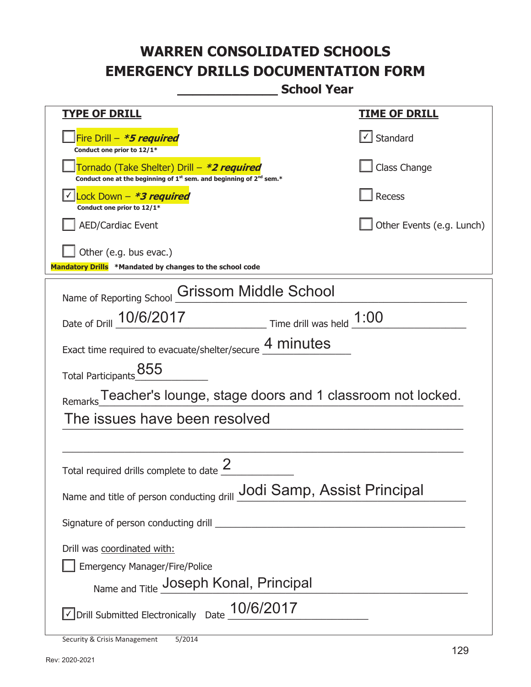**\_\_\_\_\_\_\_\_\_\_\_\_\_ School Year** 

| <u>TYPE OF DRILL</u>                                                                                                                      | <b>TIME OF DRILL</b>      |  |  |
|-------------------------------------------------------------------------------------------------------------------------------------------|---------------------------|--|--|
| Fire Drill - *5 required<br>Conduct one prior to 12/1*                                                                                    | $\cup$ Standard           |  |  |
| Tornado (Take Shelter) Drill – *2 required<br>Conduct one at the beginning of 1 <sup>st</sup> sem. and beginning of 2 <sup>nd</sup> sem.* | Class Change              |  |  |
| <u>√ Lock Down – <b>*3 required</b></u><br>Conduct one prior to 12/1*                                                                     | <b>Recess</b>             |  |  |
| <b>AED/Cardiac Event</b>                                                                                                                  | Other Events (e.g. Lunch) |  |  |
| Other (e.g. bus evac.)<br>Mandatory Drills *Mandated by changes to the school code                                                        |                           |  |  |
| Name of Reporting School Crissom Middle School                                                                                            |                           |  |  |
| Date of Drill 10/6/2017<br>$\frac{1:00}{\frac{1}{2}:00}$ Time drill was held $\frac{1:00}{\frac{1}{2}:00}$                                |                           |  |  |
| Exact time required to evacuate/shelter/secure 4 minutes                                                                                  |                           |  |  |
| Total Participants_855                                                                                                                    |                           |  |  |
| Remarks Teacher's lounge, stage doors and 1 classroom not locked.                                                                         |                           |  |  |
| The issues have been resolved                                                                                                             |                           |  |  |
|                                                                                                                                           |                           |  |  |
| Total required drills complete to date                                                                                                    |                           |  |  |
| Name and title of person conducting drill <b>Jodi Samp</b> , Assist Principal                                                             |                           |  |  |
|                                                                                                                                           |                           |  |  |
| Drill was coordinated with:                                                                                                               |                           |  |  |
| <b>Emergency Manager/Fire/Police</b>                                                                                                      |                           |  |  |
| Name and Title Joseph Konal, Principal                                                                                                    |                           |  |  |
| Oprill Submitted Electronically Date 10/6/2017                                                                                            |                           |  |  |